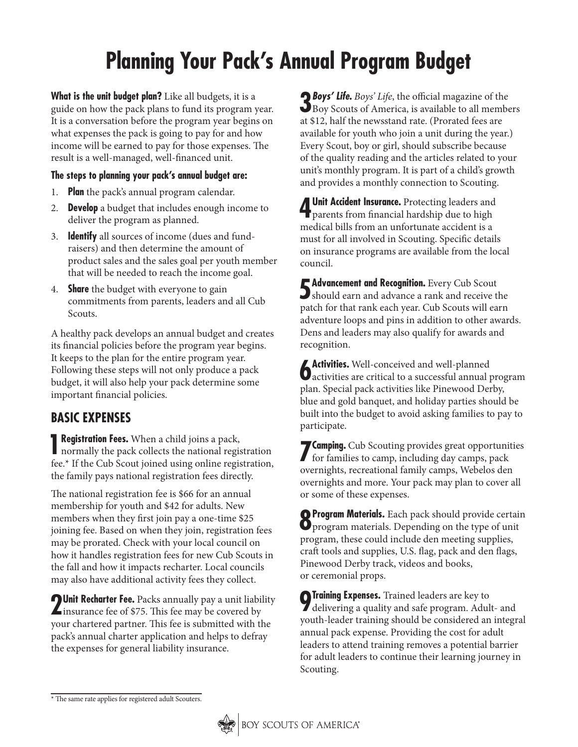# **Planning Your Pack's Annual Program Budget**

**What is the unit budget plan?** Like all budgets, it is a guide on how the pack plans to fund its program year. It is a conversation before the program year begins on what expenses the pack is going to pay for and how income will be earned to pay for those expenses. The result is a well-managed, well-financed unit.

#### **The steps to planning your pack's annual budget are:**

- 1. **Plan** the pack's annual program calendar.
- 2. **Develop** a budget that includes enough income to deliver the program as planned.
- 3. **Identify** all sources of income (dues and fundraisers) and then determine the amount of product sales and the sales goal per youth member that will be needed to reach the income goal.
- 4. **Share** the budget with everyone to gain commitments from parents, leaders and all Cub Scouts.

A healthy pack develops an annual budget and creates its financial policies before the program year begins. It keeps to the plan for the entire program year. Following these steps will not only produce a pack budget, it will also help your pack determine some important financial policies.

## **BASIC EXPENSES**

**1 Registration Fees.** When a child joins a pack, normally the pack collects the national registration fee.\* If the Cub Scout joined using online registration, the family pays national registration fees directly.

The national registration fee is \$66 for an annual membership for youth and \$42 for adults. New members when they first join pay a one-time \$25 joining fee. Based on when they join, registration fees may be prorated. Check with your local council on how it handles registration fees for new Cub Scouts in the fall and how it impacts recharter. Local councils may also have additional activity fees they collect.

**2Unit Recharter Fee.** Packs annually pay a unit liability insurance fee of \$75. This fee may be covered by your chartered partner. This fee is submitted with the pack's annual charter application and helps to defray the expenses for general liability insurance.

**3** *Boys' Life***.** *Boys' Life*, the official magazine of the Boy Scouts of America, is available to all members at \$12, half the newsstand rate. (Prorated fees are available for youth who join a unit during the year.) Every Scout, boy or girl, should subscribe because of the quality reading and the articles related to your unit's monthly program. It is part of a child's growth and provides a monthly connection to Scouting.

**4 Unit Accident Insurance.** Protecting leaders and parents from financial hardship due to high medical bills from an unfortunate accident is a must for all involved in Scouting. Specific details on insurance programs are available from the local council.

**5Advancement and Recognition.** Every Cub Scout should earn and advance a rank and receive the patch for that rank each year. Cub Scouts will earn adventure loops and pins in addition to other awards. Dens and leaders may also qualify for awards and recognition.

**6** Activities. Well-conceived and well-planned<br>detectivities are critical to a successful annual program plan. Special pack activities like Pinewood Derby, blue and gold banquet, and holiday parties should be built into the budget to avoid asking families to pay to participate.

**7 Camping.** Cub Scouting provides great opportunities for families to camp, including day camps, pack overnights, recreational family camps, Webelos den overnights and more. Your pack may plan to cover all or some of these expenses.

**8Program Materials.** Each pack should provide certain  $\mathbf{Q}_{\text{program materials}}$ . Depending on the type of unit program, these could include den meeting supplies, craft tools and supplies, U.S. flag, pack and den flags, Pinewood Derby track, videos and books, or ceremonial props.

**9Training Expenses.** Trained leaders are key to delivering a quality and safe program. Adult- and youth-leader training should be considered an integral annual pack expense. Providing the cost for adult leaders to attend training removes a potential barrier for adult leaders to continue their learning journey in Scouting.

<sup>\*</sup> The same rate applies for registered adult Scouters.